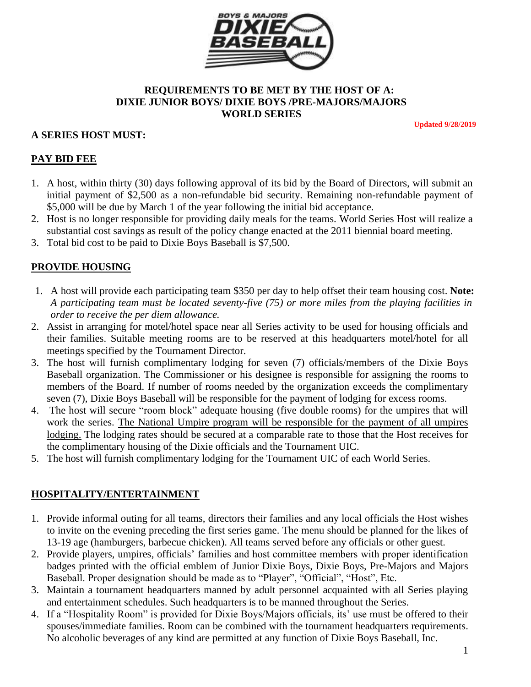

### **REQUIREMENTS TO BE MET BY THE HOST OF A: DIXIE JUNIOR BOYS/ DIXIE BOYS /PRE-MAJORS/MAJORS WORLD SERIES**

 **Updated 9/28/2019**

#### **A SERIES HOST MUST:**

#### **PAY BID FEE**

- 1. A host, within thirty (30) days following approval of its bid by the Board of Directors, will submit an initial payment of \$2,500 as a non-refundable bid security. Remaining non-refundable payment of \$5,000 will be due by March 1 of the year following the initial bid acceptance.
- 2. Host is no longer responsible for providing daily meals for the teams. World Series Host will realize a substantial cost savings as result of the policy change enacted at the 2011 biennial board meeting.
- 3. Total bid cost to be paid to Dixie Boys Baseball is \$7,500.

## **PROVIDE HOUSING**

- 1. A host will provide each participating team \$350 per day to help offset their team housing cost. **Note:** *A participating team must be located seventy-five (75) or more miles from the playing facilities in order to receive the per diem allowance.*
- 2. Assist in arranging for motel/hotel space near all Series activity to be used for housing officials and their families. Suitable meeting rooms are to be reserved at this headquarters motel/hotel for all meetings specified by the Tournament Director.
- 3. The host will furnish complimentary lodging for seven (7) officials/members of the Dixie Boys Baseball organization. The Commissioner or his designee is responsible for assigning the rooms to members of the Board. If number of rooms needed by the organization exceeds the complimentary seven (7), Dixie Boys Baseball will be responsible for the payment of lodging for excess rooms.
- 4. The host will secure "room block" adequate housing (five double rooms) for the umpires that will work the series. The National Umpire program will be responsible for the payment of all umpires lodging. The lodging rates should be secured at a comparable rate to those that the Host receives for the complimentary housing of the Dixie officials and the Tournament UIC.
- 5. The host will furnish complimentary lodging for the Tournament UIC of each World Series.

## **HOSPITALITY/ENTERTAINMENT**

- 1. Provide informal outing for all teams, directors their families and any local officials the Host wishes to invite on the evening preceding the first series game. The menu should be planned for the likes of 13-19 age (hamburgers, barbecue chicken). All teams served before any officials or other guest.
- 2. Provide players, umpires, officials' families and host committee members with proper identification badges printed with the official emblem of Junior Dixie Boys, Dixie Boys, Pre-Majors and Majors Baseball. Proper designation should be made as to "Player", "Official", "Host", Etc.
- 3. Maintain a tournament headquarters manned by adult personnel acquainted with all Series playing and entertainment schedules. Such headquarters is to be manned throughout the Series.
- 4. If a "Hospitality Room" is provided for Dixie Boys/Majors officials, its' use must be offered to their spouses/immediate families. Room can be combined with the tournament headquarters requirements. No alcoholic beverages of any kind are permitted at any function of Dixie Boys Baseball, Inc.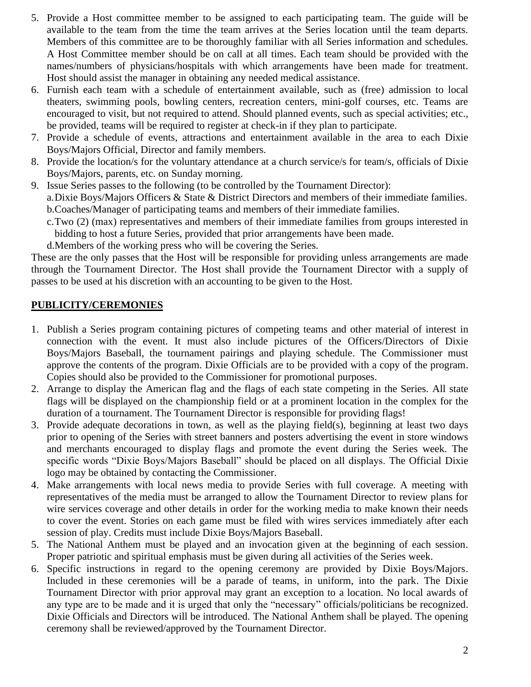- 5. Provide a Host committee member to be assigned to each participating team. The guide will be available to the team from the time the team arrives at the Series location until the team departs. Members of this committee are to be thoroughly familiar with all Series information and schedules. A Host Committee member should be on call at all times. Each team should be provided with the names/numbers of physicians/hospitals with which arrangements have been made for treatment. Host should assist the manager in obtaining any needed medical assistance.
- 6. Furnish each team with a schedule of entertainment available, such as (free) admission to local theaters, swimming pools, bowling centers, recreation centers, mini-golf courses, etc. Teams are encouraged to visit, but not required to attend. Should planned events, such as special activities; etc., be provided, teams will be required to register at check-in if they plan to participate.
- 7. Provide a schedule of events, attractions and entertainment available in the area to each Dixie Boys/Majors Official, Director and family members.
- 8. Provide the location/s for the voluntary attendance at a church service/s for team/s, officials of Dixie Boys/Majors, parents, etc. on Sunday morning.
- 9. Issue Series passes to the following (to be controlled by the Tournament Director): a.Dixie Boys/Majors Officers & State & District Directors and members of their immediate families. b.Coaches/Manager of participating teams and members of their immediate families.
	- c.Two (2) (max) representatives and members of their immediate families from groups interested in bidding to host a future Series, provided that prior arrangements have been made.
	- d.Members of the working press who will be covering the Series.

These are the only passes that the Host will be responsible for providing unless arrangements are made through the Tournament Director. The Host shall provide the Tournament Director with a supply of passes to be used at his discretion with an accounting to be given to the Host.

## **PUBLICITY/CEREMONIES**

- 1. Publish a Series program containing pictures of competing teams and other material of interest in connection with the event. It must also include pictures of the Officers/Directors of Dixie Boys/Majors Baseball, the tournament pairings and playing schedule. The Commissioner must approve the contents of the program. Dixie Officials are to be provided with a copy of the program. Copies should also be provided to the Commissioner for promotional purposes.
- 2. Arrange to display the American flag and the flags of each state competing in the Series. All state flags will be displayed on the championship field or at a prominent location in the complex for the duration of a tournament. The Tournament Director is responsible for providing flags!
- 3. Provide adequate decorations in town, as well as the playing field(s), beginning at least two days prior to opening of the Series with street banners and posters advertising the event in store windows and merchants encouraged to display flags and promote the event during the Series week. The specific words "Dixie Boys/Majors Baseball" should be placed on all displays. The Official Dixie logo may be obtained by contacting the Commissioner.
- 4. Make arrangements with local news media to provide Series with full coverage. A meeting with representatives of the media must be arranged to allow the Tournament Director to review plans for wire services coverage and other details in order for the working media to make known their needs to cover the event. Stories on each game must be filed with wires services immediately after each session of play. Credits must include Dixie Boys/Majors Baseball.
- 5. The National Anthem must be played and an invocation given at the beginning of each session. Proper patriotic and spiritual emphasis must be given during all activities of the Series week.
- 6. Specific instructions in regard to the opening ceremony are provided by Dixie Boys/Majors. Included in these ceremonies will be a parade of teams, in uniform, into the park. The Dixie Tournament Director with prior approval may grant an exception to a location. No local awards of any type are to be made and it is urged that only the "necessary" officials/politicians be recognized. Dixie Officials and Directors will be introduced. The National Anthem shall be played. The opening ceremony shall be reviewed/approved by the Tournament Director.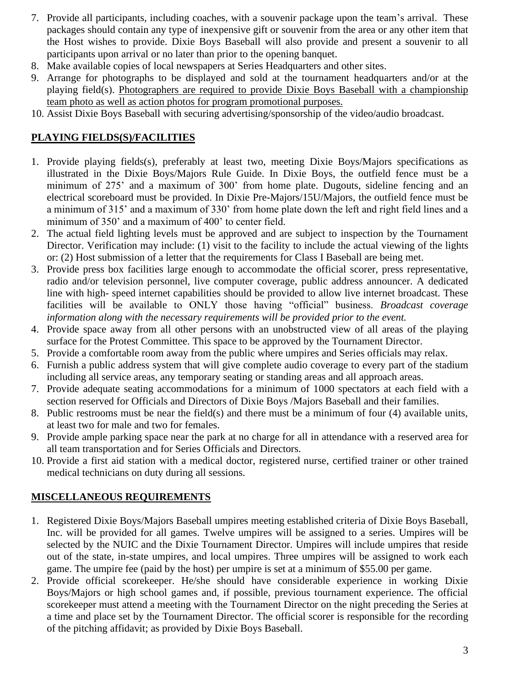- 7. Provide all participants, including coaches, with a souvenir package upon the team's arrival. These packages should contain any type of inexpensive gift or souvenir from the area or any other item that the Host wishes to provide. Dixie Boys Baseball will also provide and present a souvenir to all participants upon arrival or no later than prior to the opening banquet.
- 8. Make available copies of local newspapers at Series Headquarters and other sites.
- 9. Arrange for photographs to be displayed and sold at the tournament headquarters and/or at the playing field(s). Photographers are required to provide Dixie Boys Baseball with a championship team photo as well as action photos for program promotional purposes.
- 10. Assist Dixie Boys Baseball with securing advertising/sponsorship of the video/audio broadcast.

# **PLAYING FIELDS(S)/FACILITIES**

- 1. Provide playing fields(s), preferably at least two, meeting Dixie Boys/Majors specifications as illustrated in the Dixie Boys/Majors Rule Guide. In Dixie Boys, the outfield fence must be a minimum of 275' and a maximum of 300' from home plate. Dugouts, sideline fencing and an electrical scoreboard must be provided. In Dixie Pre-Majors/15U/Majors, the outfield fence must be a minimum of 315' and a maximum of 330' from home plate down the left and right field lines and a minimum of 350' and a maximum of 400' to center field.
- 2. The actual field lighting levels must be approved and are subject to inspection by the Tournament Director. Verification may include: (1) visit to the facility to include the actual viewing of the lights or: (2) Host submission of a letter that the requirements for Class I Baseball are being met.
- 3. Provide press box facilities large enough to accommodate the official scorer, press representative, radio and/or television personnel, live computer coverage, public address announcer. A dedicated line with high- speed internet capabilities should be provided to allow live internet broadcast. These facilities will be available to ONLY those having "official" business. *Broadcast coverage information along with the necessary requirements will be provided prior to the event.*
- 4. Provide space away from all other persons with an unobstructed view of all areas of the playing surface for the Protest Committee. This space to be approved by the Tournament Director.
- 5. Provide a comfortable room away from the public where umpires and Series officials may relax.
- 6. Furnish a public address system that will give complete audio coverage to every part of the stadium including all service areas, any temporary seating or standing areas and all approach areas.
- 7. Provide adequate seating accommodations for a minimum of 1000 spectators at each field with a section reserved for Officials and Directors of Dixie Boys /Majors Baseball and their families.
- 8. Public restrooms must be near the field(s) and there must be a minimum of four (4) available units, at least two for male and two for females.
- 9. Provide ample parking space near the park at no charge for all in attendance with a reserved area for all team transportation and for Series Officials and Directors.
- 10. Provide a first aid station with a medical doctor, registered nurse, certified trainer or other trained medical technicians on duty during all sessions.

# **MISCELLANEOUS REQUIREMENTS**

- 1. Registered Dixie Boys/Majors Baseball umpires meeting established criteria of Dixie Boys Baseball, Inc. will be provided for all games. Twelve umpires will be assigned to a series. Umpires will be selected by the NUIC and the Dixie Tournament Director. Umpires will include umpires that reside out of the state, in-state umpires, and local umpires. Three umpires will be assigned to work each game. The umpire fee (paid by the host) per umpire is set at a minimum of \$55.00 per game.
- 2. Provide official scorekeeper. He/she should have considerable experience in working Dixie Boys/Majors or high school games and, if possible, previous tournament experience. The official scorekeeper must attend a meeting with the Tournament Director on the night preceding the Series at a time and place set by the Tournament Director. The official scorer is responsible for the recording of the pitching affidavit; as provided by Dixie Boys Baseball.